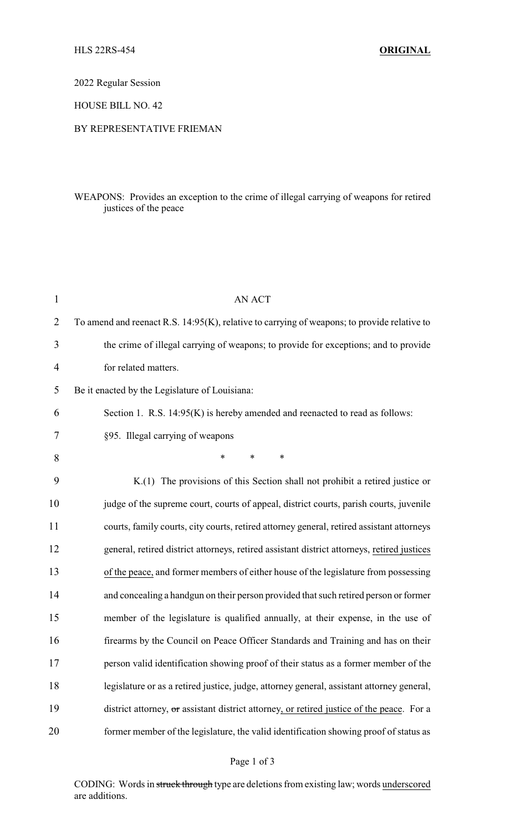2022 Regular Session

HOUSE BILL NO. 42

## BY REPRESENTATIVE FRIEMAN

## WEAPONS: Provides an exception to the crime of illegal carrying of weapons for retired justices of the peace

| $\mathbf{1}$   | <b>AN ACT</b>                                                                               |
|----------------|---------------------------------------------------------------------------------------------|
| $\overline{2}$ | To amend and reenact R.S. 14:95(K), relative to carrying of weapons; to provide relative to |
| 3              | the crime of illegal carrying of weapons; to provide for exceptions; and to provide         |
| 4              | for related matters.                                                                        |
| 5              | Be it enacted by the Legislature of Louisiana:                                              |
| 6              | Section 1. R.S. 14:95(K) is hereby amended and reenacted to read as follows:                |
| 7              | §95. Illegal carrying of weapons                                                            |
| 8              | $\ast$<br>$\ast$<br>*                                                                       |
| 9              | K.(1) The provisions of this Section shall not prohibit a retired justice or                |
| 10             | judge of the supreme court, courts of appeal, district courts, parish courts, juvenile      |
| 11             | courts, family courts, city courts, retired attorney general, retired assistant attorneys   |
| 12             | general, retired district attorneys, retired assistant district attorneys, retired justices |
| 13             | of the peace, and former members of either house of the legislature from possessing         |
| 14             | and concealing a handgun on their person provided that such retired person or former        |
| 15             | member of the legislature is qualified annually, at their expense, in the use of            |
| 16             | firearms by the Council on Peace Officer Standards and Training and has on their            |
| 17             | person valid identification showing proof of their status as a former member of the         |
| 18             | legislature or as a retired justice, judge, attorney general, assistant attorney general,   |
| 19             | district attorney, or assistant district attorney, or retired justice of the peace. For a   |
| 20             | former member of the legislature, the valid identification showing proof of status as       |

CODING: Words in struck through type are deletions from existing law; words underscored are additions.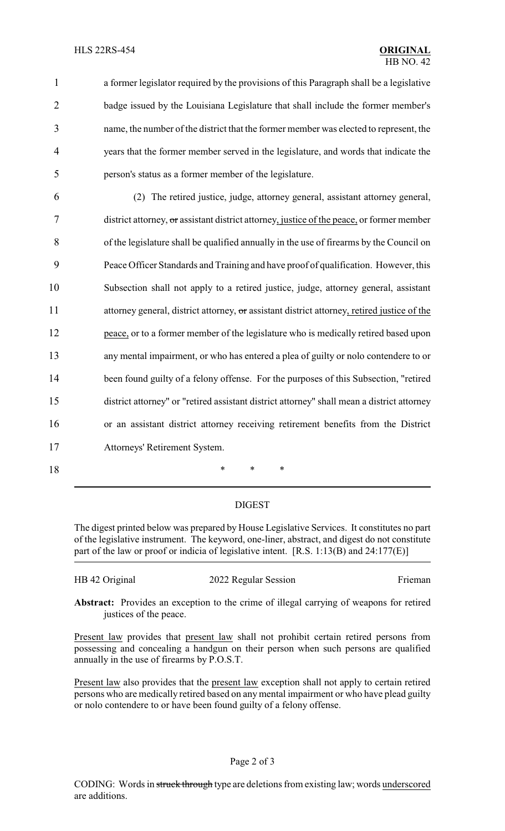a former legislator required by the provisions of this Paragraph shall be a legislative badge issued by the Louisiana Legislature that shall include the former member's name, the number of the district that the former member was elected to represent, the years that the former member served in the legislature, and words that indicate the person's status as a former member of the legislature.

 (2) The retired justice, judge, attorney general, assistant attorney general, district attorney, or assistant district attorney, justice of the peace, or former member of the legislature shall be qualified annually in the use of firearms by the Council on Peace Officer Standards and Training and have proof of qualification. However, this Subsection shall not apply to a retired justice, judge, attorney general, assistant 11 attorney general, district attorney, or assistant district attorney, retired justice of the peace, or to a former member of the legislature who is medically retired based upon any mental impairment, or who has entered a plea of guilty or nolo contendere to or 14 been found guilty of a felony offense. For the purposes of this Subsection, "retired district attorney" or "retired assistant district attorney" shall mean a district attorney or an assistant district attorney receiving retirement benefits from the District Attorneys' Retirement System.

18 \* \* \*

DIGEST

The digest printed below was prepared by House Legislative Services. It constitutes no part of the legislative instrument. The keyword, one-liner, abstract, and digest do not constitute part of the law or proof or indicia of legislative intent. [R.S. 1:13(B) and 24:177(E)]

HB 42 Original 2022 Regular Session Frieman

**Abstract:** Provides an exception to the crime of illegal carrying of weapons for retired justices of the peace.

Present law provides that present law shall not prohibit certain retired persons from possessing and concealing a handgun on their person when such persons are qualified annually in the use of firearms by P.O.S.T.

Present law also provides that the present law exception shall not apply to certain retired persons who are medically retired based on any mental impairment or who have plead guilty or nolo contendere to or have been found guilty of a felony offense.